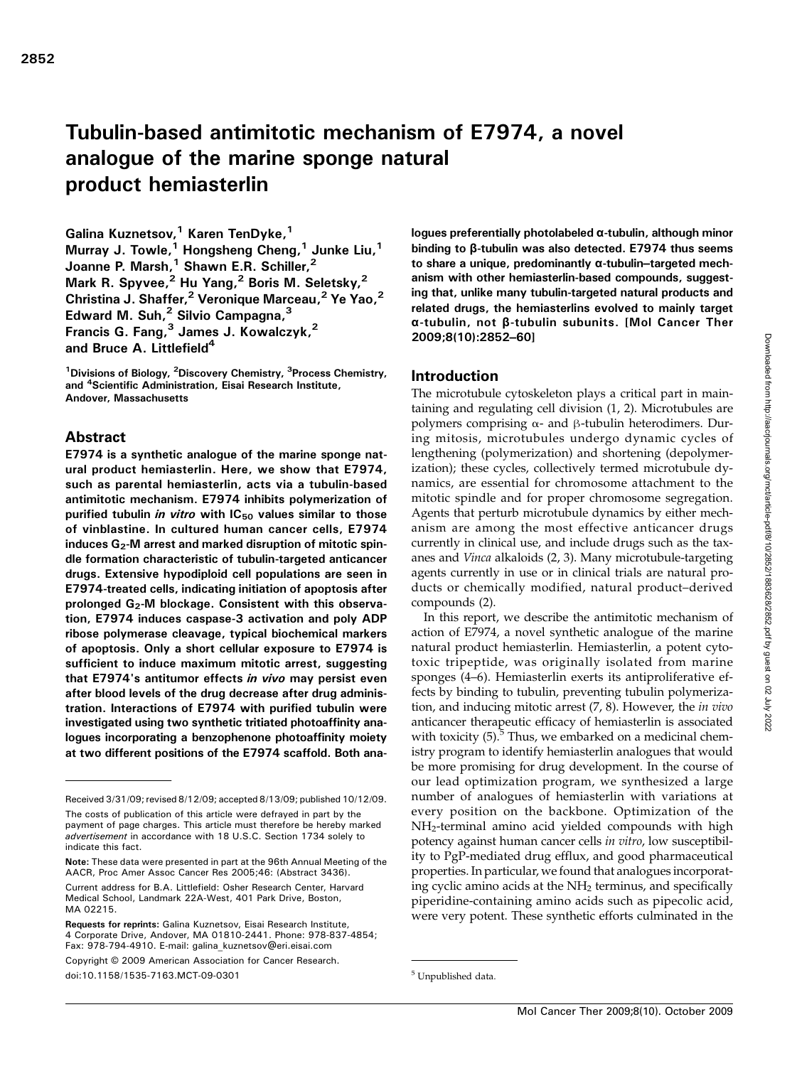# Tubulin-based antimitotic mechanism of E7974, a novel analogue of the marine sponge natural product hemiasterlin

Galina Kuznetsov,<sup>1</sup> Karen TenDyke,<sup>1</sup> Murray J. Towle,<sup>1</sup> Hongsheng Cheng,<sup>1</sup> Junke Liu,<sup>1</sup> Joanne P. Marsh,<sup>1</sup> Shawn E.R. Schiller,<sup>2</sup> Mark R. Spyvee,<sup>2</sup> Hu Yang,<sup>2</sup> Boris M. Seletsky,<sup>2</sup> Christina J. Shaffer,<sup>2</sup> Veronique Marceau,<sup>2</sup> Ye Yao,<sup>2</sup> Edward M. Suh, $<sup>2</sup>$  Silvio Campagna, $<sup>3</sup>$ </sup></sup> Francis G. Fang, $3$  James J. Kowalczyk, $^2$ and Bruce A. Littlefield<sup>4</sup>

<sup>1</sup>Divisions of Biology, <sup>2</sup>Discovery Chemistry, <sup>3</sup>Process Chemistry, and <sup>4</sup> Scientific Administration, Eisai Research Institute, Andover, Massachusetts

## Abstract

E7974 is a synthetic analogue of the marine sponge natural product hemiasterlin. Here, we show that E7974, such as parental hemiasterlin, acts via a tubulin-based antimitotic mechanism. E7974 inhibits polymerization of purified tubulin in vitro with  $IC_{50}$  values similar to those of vinblastine. In cultured human cancer cells, E7974 induces  $G_2$ -M arrest and marked disruption of mitotic spindle formation characteristic of tubulin-targeted anticancer drugs. Extensive hypodiploid cell populations are seen in E7974-treated cells, indicating initiation of apoptosis after prolonged  $G_2$ -M blockage. Consistent with this observation, E7974 induces caspase-3 activation and poly ADP ribose polymerase cleavage, typical biochemical markers of apoptosis. Only a short cellular exposure to E7974 is sufficient to induce maximum mitotic arrest, suggesting that E7974's antitumor effects in vivo may persist even after blood levels of the drug decrease after drug administration. Interactions of E7974 with purified tubulin were investigated using two synthetic tritiated photoaffinity analogues incorporating a benzophenone photoaffinity moiety at two different positions of the E7974 scaffold. Both analogues preferentially photolabeled α-tubulin, although minor binding to β-tubulin was also detected. E7974 thus seems to share a unique, predominantly α-tubulin–targeted mechanism with other hemiasterlin-based compounds, suggesting that, unlike many tubulin-targeted natural products and related drugs, the hemiasterlins evolved to mainly target α-tubulin, not β-tubulin subunits. [Mol Cancer Ther 2009;8(10):2852–60]

#### Introduction

The microtubule cytoskeleton plays a critical part in maintaining and regulating cell division (1, 2). Microtubules are polymers comprising  $α$ - and β-tubulin heterodimers. During mitosis, microtubules undergo dynamic cycles of lengthening (polymerization) and shortening (depolymerization); these cycles, collectively termed microtubule dynamics, are essential for chromosome attachment to the mitotic spindle and for proper chromosome segregation. Agents that perturb microtubule dynamics by either mechanism are among the most effective anticancer drugs currently in clinical use, and include drugs such as the taxanes and Vinca alkaloids (2, 3). Many microtubule-targeting agents currently in use or in clinical trials are natural products or chemically modified, natural product–derived compounds (2).

In this report, we describe the antimitotic mechanism of action of E7974, a novel synthetic analogue of the marine natural product hemiasterlin. Hemiasterlin, a potent cytotoxic tripeptide, was originally isolated from marine sponges (4–6). Hemiasterlin exerts its antiproliferative effects by binding to tubulin, preventing tubulin polymerization, and inducing mitotic arrest (7, 8). However, the in vivo anticancer therapeutic efficacy of hemiasterlin is associated with toxicity  $(5)$ .<sup>5</sup> Thus, we embarked on a medicinal chemistry program to identify hemiasterlin analogues that would be more promising for drug development. In the course of our lead optimization program, we synthesized a large number of analogues of hemiasterlin with variations at every position on the backbone. Optimization of the NH2-terminal amino acid yielded compounds with high potency against human cancer cells in vitro, low susceptibility to PgP-mediated drug efflux, and good pharmaceutical properties. In particular, we found that analogues incorporating cyclic amino acids at the NH<sub>2</sub> terminus, and specifically piperidine-containing amino acids such as pipecolic acid, were very potent. These synthetic efforts culminated in the

Received 3/31/09; revised 8/12/09; accepted 8/13/09; published 10/12/09.

The costs of publication of this article were defrayed in part by the payment of page charges. This article must therefore be hereby marked advertisement in accordance with 18 U.S.C. Section 1734 solely to indicate this fact.

Note: These data were presented in part at the 96th Annual Meeting of the AACR, Proc Amer Assoc Cancer Res 2005;46: (Abstract 3436).

Current address for B.A. Littlefield: Osher Research Center, Harvard Medical School, Landmark 22A-West, 401 Park Drive, Boston, MA 02215.

Requests for reprints: Galina Kuznetsov, Eisai Research Institute, 4 Corporate Drive, Andover, MA 01810-2441. Phone: 978-837-4854; Fax: 978-794-4910. E-mail: galina\_kuznetsov@eri.eisai.com

Copyright © 2009 American Association for Cancer Research. doi:10.1158/1535-7163.MCT-09-0301 5 Unpublished data.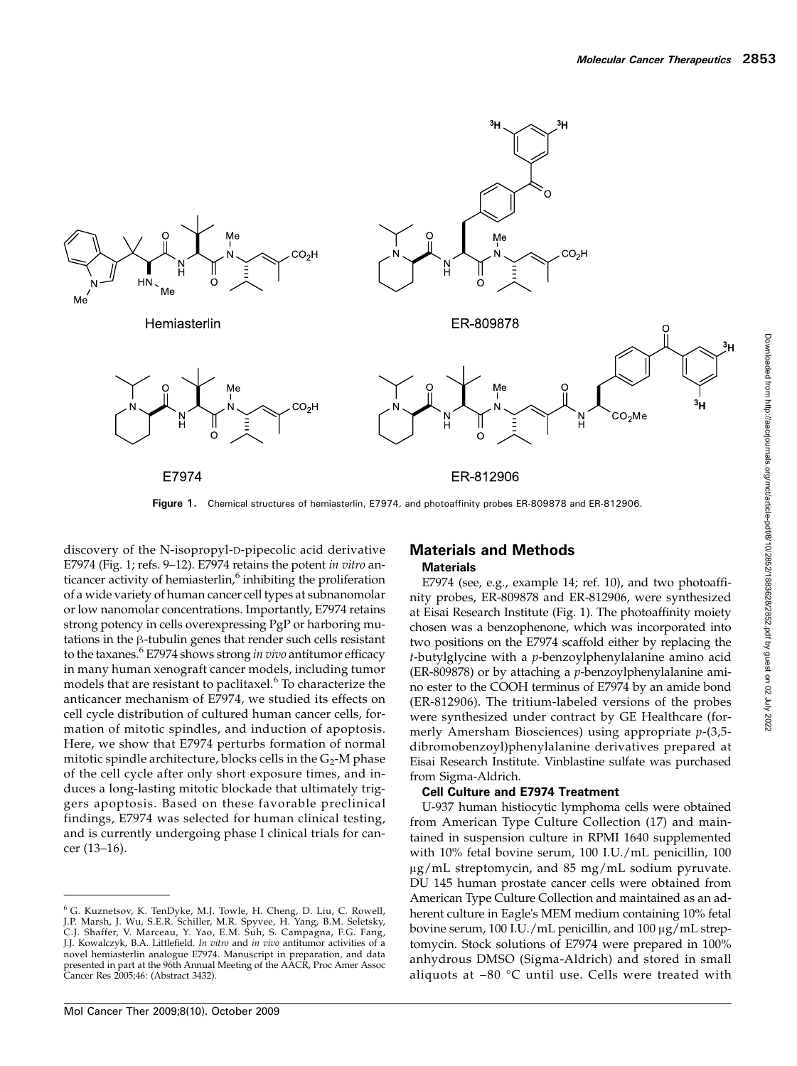

Figure 1. Chemical structures of hemiasterlin, E7974, and photoaffinity probes ER-809878 and ER-812906

discovery of the N-isopropyl-D-pipecolic acid derivative E7974 (Fig. 1; refs. 9–12). E7974 retains the potent in vitro anticancer activity of hemiasterlin, $6$  inhibiting the proliferation of a wide variety of human cancer cell types at subnanomolar or low nanomolar concentrations. Importantly, E7974 retains strong potency in cells overexpressing PgP or harboring mutations in the β-tubulin genes that render such cells resistant to the taxanes.<sup>6</sup> E7974 shows strong *in vivo* antitumor efficacy in many human xenograft cancer models, including tumor models that are resistant to paclitaxel. $6$  To characterize the anticancer mechanism of E7974, we studied its effects on cell cycle distribution of cultured human cancer cells, formation of mitotic spindles, and induction of apoptosis. Here, we show that E7974 perturbs formation of normal mitotic spindle architecture, blocks cells in the  $G_2$ -M phase of the cell cycle after only short exposure times, and induces a long-lasting mitotic blockade that ultimately triggers apoptosis. Based on these favorable preclinical findings, E7974 was selected for human clinical testing, and is currently undergoing phase I clinical trials for cancer (13–16).

#### Materials and Methods **Materials**

E7974 (see, e.g., example 14; ref. 10), and two photoaffinity probes, ER-809878 and ER-812906, were synthesized at Eisai Research Institute (Fig. 1). The photoaffinity moiety chosen was a benzophenone, which was incorporated into two positions on the E7974 scaffold either by replacing the  $t$ -butylglycine with a  $p$ -benzoylphenylalanine amino acid (ER-809878) or by attaching a p-benzoylphenylalanine amino ester to the COOH terminus of E7974 by an amide bond (ER-812906). The tritium-labeled versions of the probes were synthesized under contract by GE Healthcare (formerly Amersham Biosciences) using appropriate  $p-(3,5$ dibromobenzoyl)phenylalanine derivatives prepared at Eisai Research Institute. Vinblastine sulfate was purchased from Sigma-Aldrich.

#### Cell Culture and E7974 Treatment

U-937 human histiocytic lymphoma cells were obtained from American Type Culture Collection (17) and maintained in suspension culture in RPMI 1640 supplemented with 10% fetal bovine serum, 100 I.U./mL penicillin, 100 μg/mL streptomycin, and 85 mg/mL sodium pyruvate. DU 145 human prostate cancer cells were obtained from American Type Culture Collection and maintained as an adherent culture in Eagle's MEM medium containing 10% fetal bovine serum, 100 I.U./mL penicillin, and 100 μg/mL streptomycin. Stock solutions of E7974 were prepared in 100% anhydrous DMSO (Sigma-Aldrich) and stored in small aliquots at −80 °C until use. Cells were treated with

<sup>&</sup>lt;sup>6</sup> G. Kuznetsov, K. TenDyke, M.J. Towle, H. Cheng, D. Liu, C. Rowell,<br>J.P. Marsh, J. Wu, S.E.R. Schiller, M.R. Spyvee, H. Yang, B.M. Seletsky,<br>C.J. Shaffer, V. Marceau, Y. Yao, E.M. Suh, S. Campagna, F.G. Fang, J.J. Kowalczyk, B.A. Littlefield. In vitro and in vivo antitumor activities of a novel hemiasterlin analogue E7974. Manuscript in preparation, and data presented in part at the 96th Annual Meeting of the AACR, Proc Amer Assoc Cancer Res 2005;46: (Abstract 3432).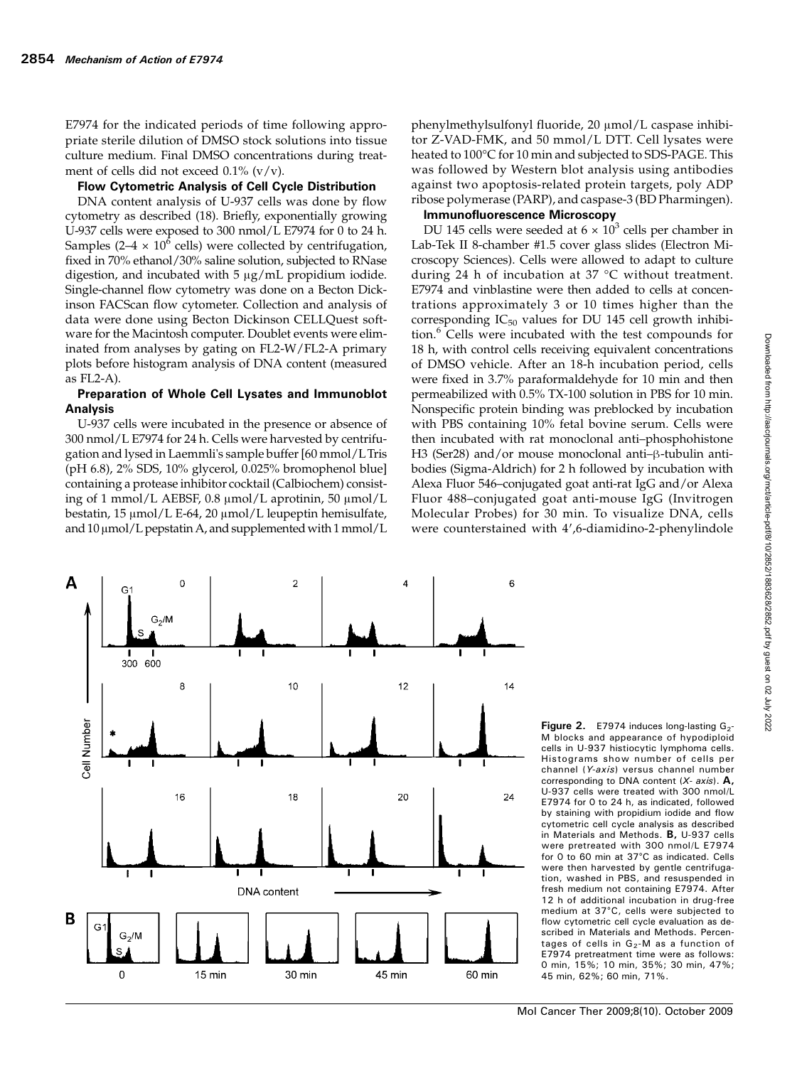E7974 for the indicated periods of time following appropriate sterile dilution of DMSO stock solutions into tissue culture medium. Final DMSO concentrations during treatment of cells did not exceed  $0.1\%$  (v/v).

#### Flow Cytometric Analysis of Cell Cycle Distribution

DNA content analysis of U-937 cells was done by flow cytometry as described (18). Briefly, exponentially growing U-937 cells were exposed to 300 nmol/L E7974 for 0 to 24 h. Samples (2–4  $\times$  10<sup>6</sup> cells) were collected by centrifugation, fixed in 70% ethanol/30% saline solution, subjected to RNase digestion, and incubated with 5 μg/mL propidium iodide. Single-channel flow cytometry was done on a Becton Dickinson FACScan flow cytometer. Collection and analysis of data were done using Becton Dickinson CELLQuest software for the Macintosh computer. Doublet events were eliminated from analyses by gating on FL2-W/FL2-A primary plots before histogram analysis of DNA content (measured as FL2-A).

#### Preparation of Whole Cell Lysates and Immunoblot Analysis

U-937 cells were incubated in the presence or absence of 300 nmol/L E7974 for 24 h. Cells were harvested by centrifugation and lysed in Laemmli's sample buffer [60 mmol/LTris (pH 6.8), 2% SDS, 10% glycerol, 0.025% bromophenol blue] containing a protease inhibitor cocktail (Calbiochem) consisting of 1 mmol/L AEBSF, 0.8 μmol/L aprotinin, 50 μmol/L bestatin, 15 μmol/L E-64, 20 μmol/L leupeptin hemisulfate, and  $10 \mu$ mol/L pepstatin A, and supplemented with 1 mmol/L

phenylmethylsulfonyl fluoride, 20 μmol/L caspase inhibitor Z-VAD-FMK, and 50 mmol/L DTT. Cell lysates were heated to 100°C for 10 min and subjected to SDS-PAGE. This was followed by Western blot analysis using antibodies against two apoptosis-related protein targets, poly ADP ribose polymerase (PARP), and caspase-3 (BD Pharmingen).

#### Immunofluorescence Microscopy

DU 145 cells were seeded at  $6 \times 10^3$  cells per chamber in Lab-Tek II 8-chamber #1.5 cover glass slides (Electron Microscopy Sciences). Cells were allowed to adapt to culture during 24 h of incubation at 37 °C without treatment. E7974 and vinblastine were then added to cells at concentrations approximately 3 or 10 times higher than the corresponding  $IC_{50}$  values for DU 145 cell growth inhibition.<sup>6</sup> Cells were incubated with the test compounds for 18 h, with control cells receiving equivalent concentrations of DMSO vehicle. After an 18-h incubation period, cells were fixed in 3.7% paraformaldehyde for 10 min and then permeabilized with 0.5% TX-100 solution in PBS for 10 min. Nonspecific protein binding was preblocked by incubation with PBS containing 10% fetal bovine serum. Cells were then incubated with rat monoclonal anti–phosphohistone H3 (Ser28) and/or mouse monoclonal anti–β-tubulin antibodies (Sigma-Aldrich) for 2 h followed by incubation with Alexa Fluor 546–conjugated goat anti-rat IgG and/or Alexa Fluor 488–conjugated goat anti-mouse IgG (Invitrogen Molecular Probes) for 30 min. To visualize DNA, cells were counterstained with 4′,6-diamidino-2-phenylindole



Figure 2.  $E$ 7974 induces long-lasting  $G_2$ M blocks and appearance of hypodiploid cells in U-937 histiocytic lymphoma cells. Histograms show number of cells per channel (Y-axis) versus channel number corresponding to DNA content  $(X - axis)$ . A, U-937 cells were treated with 300 nmol/L E7974 for 0 to 24 h, as indicated, followed by staining with propidium iodide and flow cytometric cell cycle analysis as described in Materials and Methods. B, U-937 cells were pretreated with 300 nmol/L E7974 for 0 to 60 min at 37°C as indicated. Cells were then harvested by gentle centrifugation, washed in PBS, and resuspended in fresh medium not containing E7974. After 12 h of additional incubation in drug-free medium at 37°C, cells were subjected to flow cytometric cell cycle evaluation as described in Materials and Methods. Percentages of cells in  $G_2$ -M as a function of E7974 pretreatment time were as follows: 0 min, 15%; 10 min, 35%; 30 min, 47%; 45 min, 62%; 60 min, 71%.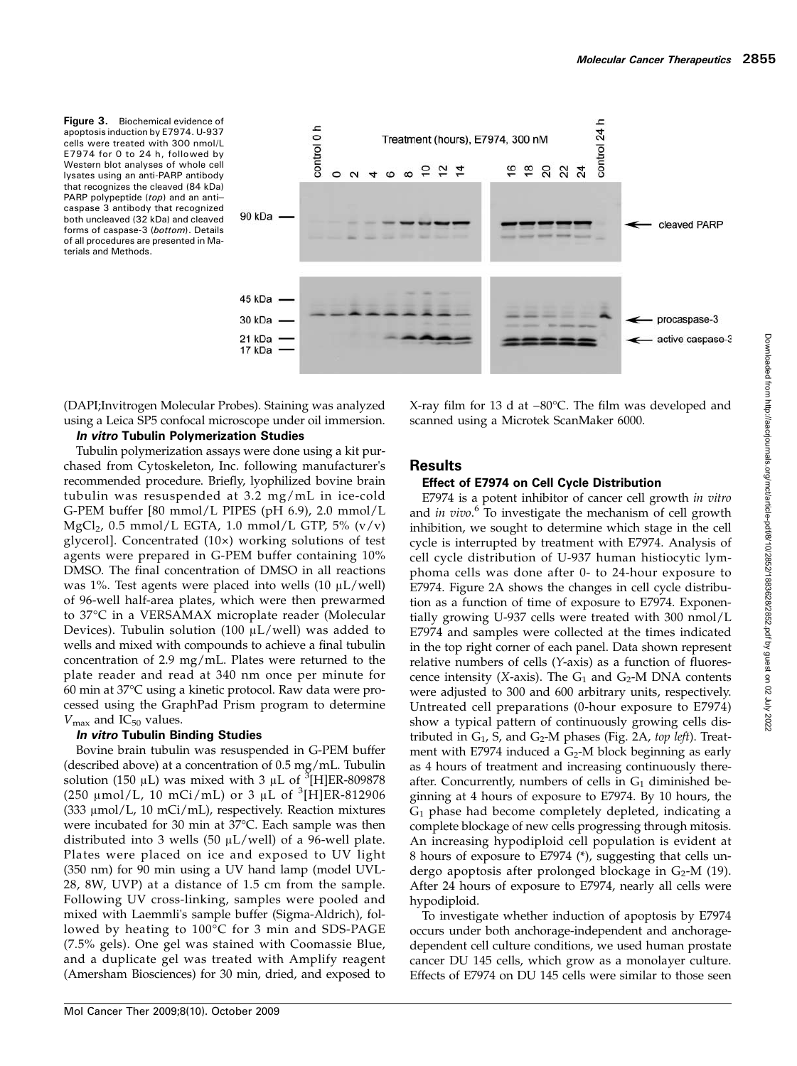Figure 3. Biochemical evidence of apoptosis induction by E7974. U-937 cells were treated with 300 nmol/L E7974 for 0 to 24 h, followed by Western blot analyses of whole cell lysates using an anti-PARP antibody that recognizes the cleaved (84 kDa) PARP polypeptide (top) and an anticaspase 3 antibody that recognized both uncleaved (32 kDa) and cleaved forms of caspase-3 (bottom). Details of all procedures are presented in Materials and Methods.



(DAPI;Invitrogen Molecular Probes). Staining was analyzed using a Leica SP5 confocal microscope under oil immersion.

#### In vitro Tubulin Polymerization Studies

Tubulin polymerization assays were done using a kit purchased from Cytoskeleton, Inc. following manufacturer's recommended procedure. Briefly, lyophilized bovine brain tubulin was resuspended at 3.2 mg/mL in ice-cold G-PEM buffer [80 mmol/L PIPES (pH 6.9), 2.0 mmol/L  $MgCl<sub>2</sub>$ , 0.5 mmol/L EGTA, 1.0 mmol/L GTP, 5% (v/v) glycerol]. Concentrated (10×) working solutions of test agents were prepared in G-PEM buffer containing 10% DMSO. The final concentration of DMSO in all reactions was 1%. Test agents were placed into wells  $(10 \mu L/well)$ of 96-well half-area plates, which were then prewarmed to 37°C in a VERSAMAX microplate reader (Molecular Devices). Tubulin solution (100  $\mu$ L/well) was added to wells and mixed with compounds to achieve a final tubulin concentration of 2.9 mg/mL. Plates were returned to the plate reader and read at 340 nm once per minute for 60 min at 37°C using a kinetic protocol. Raw data were processed using the GraphPad Prism program to determine  $V_{\text{max}}$  and IC<sub>50</sub> values.

#### In vitro Tubulin Binding Studies

Bovine brain tubulin was resuspended in G-PEM buffer (described above) at a concentration of 0.5 mg/mL. Tubulin solution (150  $\mu$ L) was mixed with 3  $\mu$ L of <sup>3</sup>[H]ER-809878 (250  $\mu$ mol/L, 10 mCi/mL) or 3  $\mu$ L of <sup>3</sup>[H]ER-812906 (333 μmol/L, 10 mCi/mL), respectively. Reaction mixtures were incubated for 30 min at 37°C. Each sample was then distributed into 3 wells (50 μL/well) of a 96-well plate. Plates were placed on ice and exposed to UV light (350 nm) for 90 min using a UV hand lamp (model UVL-28, 8W, UVP) at a distance of 1.5 cm from the sample. Following UV cross-linking, samples were pooled and mixed with Laemmli's sample buffer (Sigma-Aldrich), followed by heating to 100°C for 3 min and SDS-PAGE (7.5% gels). One gel was stained with Coomassie Blue, and a duplicate gel was treated with Amplify reagent (Amersham Biosciences) for 30 min, dried, and exposed to

X-ray film for 13 d at −80°C. The film was developed and scanned using a Microtek ScanMaker 6000.

### **Results**

#### Effect of E7974 on Cell Cycle Distribution

E7974 is a potent inhibitor of cancer cell growth in vitro and in vivo.<sup>6</sup> To investigate the mechanism of cell growth inhibition, we sought to determine which stage in the cell cycle is interrupted by treatment with E7974. Analysis of cell cycle distribution of U-937 human histiocytic lymphoma cells was done after 0- to 24-hour exposure to E7974. Figure 2A shows the changes in cell cycle distribution as a function of time of exposure to E7974. Exponentially growing U-937 cells were treated with 300 nmol/L E7974 and samples were collected at the times indicated in the top right corner of each panel. Data shown represent relative numbers of cells (Y-axis) as a function of fluorescence intensity (X-axis). The  $G_1$  and  $G_2$ -M DNA contents were adjusted to 300 and 600 arbitrary units, respectively. Untreated cell preparations (0-hour exposure to E7974) show a typical pattern of continuously growing cells distributed in  $G_1$ , S, and  $G_2$ -M phases (Fig. 2A, top left). Treatment with E7974 induced a  $G_2$ -M block beginning as early as 4 hours of treatment and increasing continuously thereafter. Concurrently, numbers of cells in  $G_1$  diminished beginning at 4 hours of exposure to E7974. By 10 hours, the  $G_1$  phase had become completely depleted, indicating a complete blockage of new cells progressing through mitosis. An increasing hypodiploid cell population is evident at 8 hours of exposure to E7974 (\*), suggesting that cells undergo apoptosis after prolonged blockage in  $G_2$ -M (19). After 24 hours of exposure to E7974, nearly all cells were hypodiploid.

To investigate whether induction of apoptosis by E7974 occurs under both anchorage-independent and anchoragedependent cell culture conditions, we used human prostate cancer DU 145 cells, which grow as a monolayer culture. Effects of E7974 on DU 145 cells were similar to those seen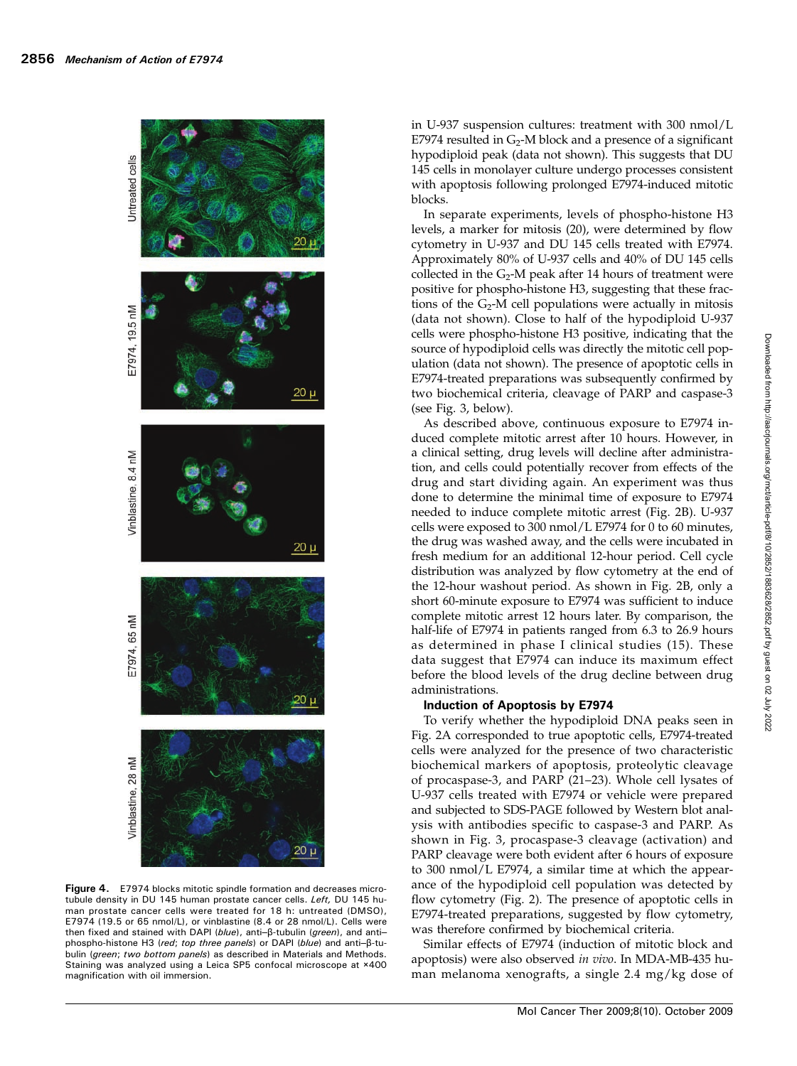

Figure 4. E7974 blocks mitotic spindle formation and decreases microtubule density in DU 145 human prostate cancer cells. Left, DU 145 human prostate cancer cells were treated for 18 h: untreated (DMSO), E7974 (19.5 or 65 nmol/L), or vinblastine (8.4 or 28 nmol/L). Cells were then fixed and stained with DAPI (blue), anti–β-tubulin (*green*), and anti– phospho-histone H3 (red; top three panels) or DAPI (blue) and anti–β-tubulin (green; two bottom panels) as described in Materials and Methods. Staining was analyzed using a Leica SP5 confocal microscope at ×400 magnification with oil immersion.

in U-937 suspension cultures: treatment with 300 nmol/L E7974 resulted in  $G_2$ -M block and a presence of a significant hypodiploid peak (data not shown). This suggests that DU 145 cells in monolayer culture undergo processes consistent with apoptosis following prolonged E7974-induced mitotic blocks.

In separate experiments, levels of phospho-histone H3 levels, a marker for mitosis (20), were determined by flow cytometry in U-937 and DU 145 cells treated with E7974. Approximately 80% of U-937 cells and 40% of DU 145 cells collected in the  $G_2$ -M peak after 14 hours of treatment were positive for phospho-histone H3, suggesting that these fractions of the  $G_2$ -M cell populations were actually in mitosis (data not shown). Close to half of the hypodiploid U-937 cells were phospho-histone H3 positive, indicating that the source of hypodiploid cells was directly the mitotic cell population (data not shown). The presence of apoptotic cells in E7974-treated preparations was subsequently confirmed by two biochemical criteria, cleavage of PARP and caspase-3 (see Fig. 3, below).

As described above, continuous exposure to E7974 induced complete mitotic arrest after 10 hours. However, in a clinical setting, drug levels will decline after administration, and cells could potentially recover from effects of the drug and start dividing again. An experiment was thus done to determine the minimal time of exposure to E7974 needed to induce complete mitotic arrest (Fig. 2B). U-937 cells were exposed to 300 nmol/L E7974 for 0 to 60 minutes, the drug was washed away, and the cells were incubated in fresh medium for an additional 12-hour period. Cell cycle distribution was analyzed by flow cytometry at the end of the 12-hour washout period. As shown in Fig. 2B, only a short 60-minute exposure to E7974 was sufficient to induce complete mitotic arrest 12 hours later. By comparison, the half-life of E7974 in patients ranged from 6.3 to 26.9 hours as determined in phase I clinical studies (15). These data suggest that E7974 can induce its maximum effect before the blood levels of the drug decline between drug administrations.

# Induction of Apoptosis by E7974

To verify whether the hypodiploid DNA peaks seen in Fig. 2A corresponded to true apoptotic cells, E7974-treated cells were analyzed for the presence of two characteristic biochemical markers of apoptosis, proteolytic cleavage of procaspase-3, and PARP (21–23). Whole cell lysates of U-937 cells treated with E7974 or vehicle were prepared and subjected to SDS-PAGE followed by Western blot analysis with antibodies specific to caspase-3 and PARP. As shown in Fig. 3, procaspase-3 cleavage (activation) and PARP cleavage were both evident after 6 hours of exposure to 300 nmol/L E7974, a similar time at which the appearance of the hypodiploid cell population was detected by flow cytometry (Fig. 2). The presence of apoptotic cells in E7974-treated preparations, suggested by flow cytometry, was therefore confirmed by biochemical criteria.

Similar effects of E7974 (induction of mitotic block and apoptosis) were also observed in vivo. In MDA-MB-435 human melanoma xenografts, a single 2.4 mg/kg dose of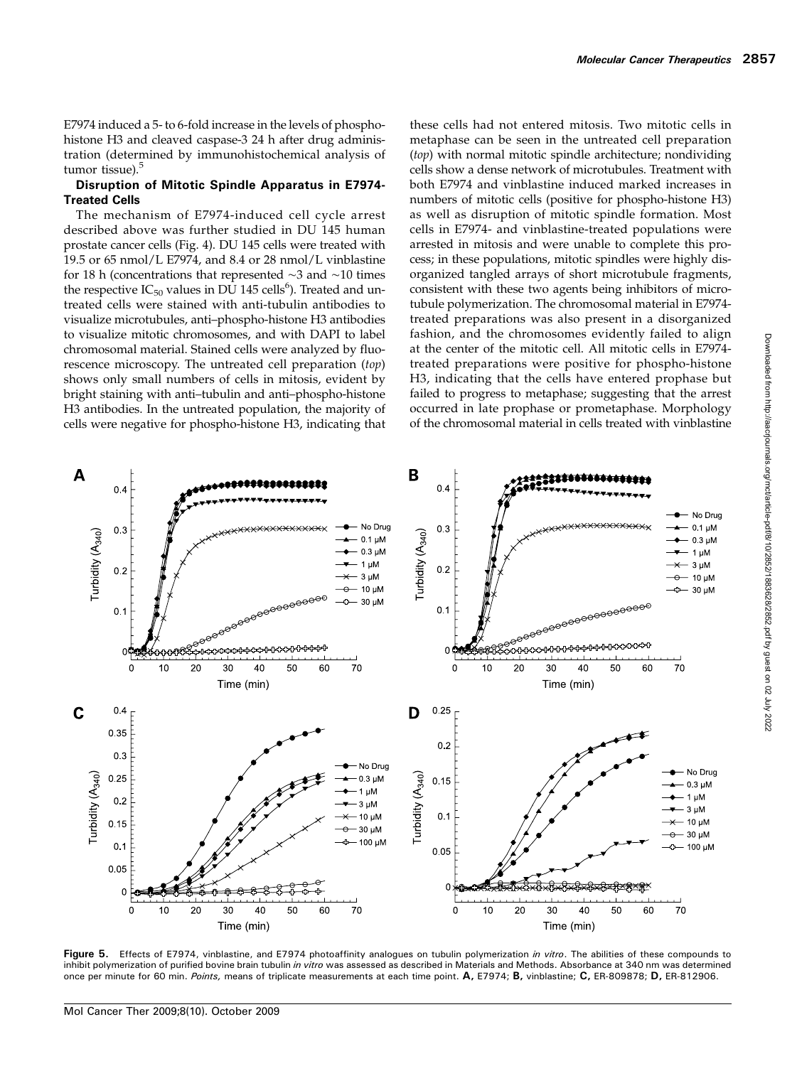E7974 induced a 5- to 6-fold increase in the levels of phosphohistone H3 and cleaved caspase-3 24 h after drug administration (determined by immunohistochemical analysis of tumor tissue).<sup>5</sup>

#### Disruption of Mitotic Spindle Apparatus in E7974- Treated Cells

The mechanism of E7974-induced cell cycle arrest described above was further studied in DU 145 human prostate cancer cells (Fig. 4). DU 145 cells were treated with 19.5 or 65 nmol/L E7974, and 8.4 or 28 nmol/L vinblastine for 18 h (concentrations that represented ∼3 and ∼10 times the respective  $IC_{50}$  values in  $D\tilde{U}$  145 cells<sup>6</sup>). Treated and untreated cells were stained with anti-tubulin antibodies to visualize microtubules, anti–phospho-histone H3 antibodies to visualize mitotic chromosomes, and with DAPI to label chromosomal material. Stained cells were analyzed by fluorescence microscopy. The untreated cell preparation (top) shows only small numbers of cells in mitosis, evident by bright staining with anti–tubulin and anti–phospho-histone H3 antibodies. In the untreated population, the majority of cells were negative for phospho-histone H3, indicating that

these cells had not entered mitosis. Two mitotic cells in metaphase can be seen in the untreated cell preparation (top) with normal mitotic spindle architecture; nondividing cells show a dense network of microtubules. Treatment with both E7974 and vinblastine induced marked increases in numbers of mitotic cells (positive for phospho-histone H3) as well as disruption of mitotic spindle formation. Most cells in E7974- and vinblastine-treated populations were arrested in mitosis and were unable to complete this process; in these populations, mitotic spindles were highly disorganized tangled arrays of short microtubule fragments, consistent with these two agents being inhibitors of microtubule polymerization. The chromosomal material in E7974 treated preparations was also present in a disorganized fashion, and the chromosomes evidently failed to align at the center of the mitotic cell. All mitotic cells in E7974 treated preparations were positive for phospho-histone H3, indicating that the cells have entered prophase but failed to progress to metaphase; suggesting that the arrest occurred in late prophase or prometaphase. Morphology of the chromosomal material in cells treated with vinblastine



Figure 5. Effects of E7974, vinblastine, and E7974 photoaffinity analogues on tubulin polymerization in vitro. The abilities of these compounds to inhibit polymerization of purified bovine brain tubulin in vitro was assessed as described in Materials and Methods. Absorbance at 340 nm was determined once per minute for 60 min. Points, means of triplicate measurements at each time point. A, E7974; B, vinblastine; C, ER-809878; D, ER-812906.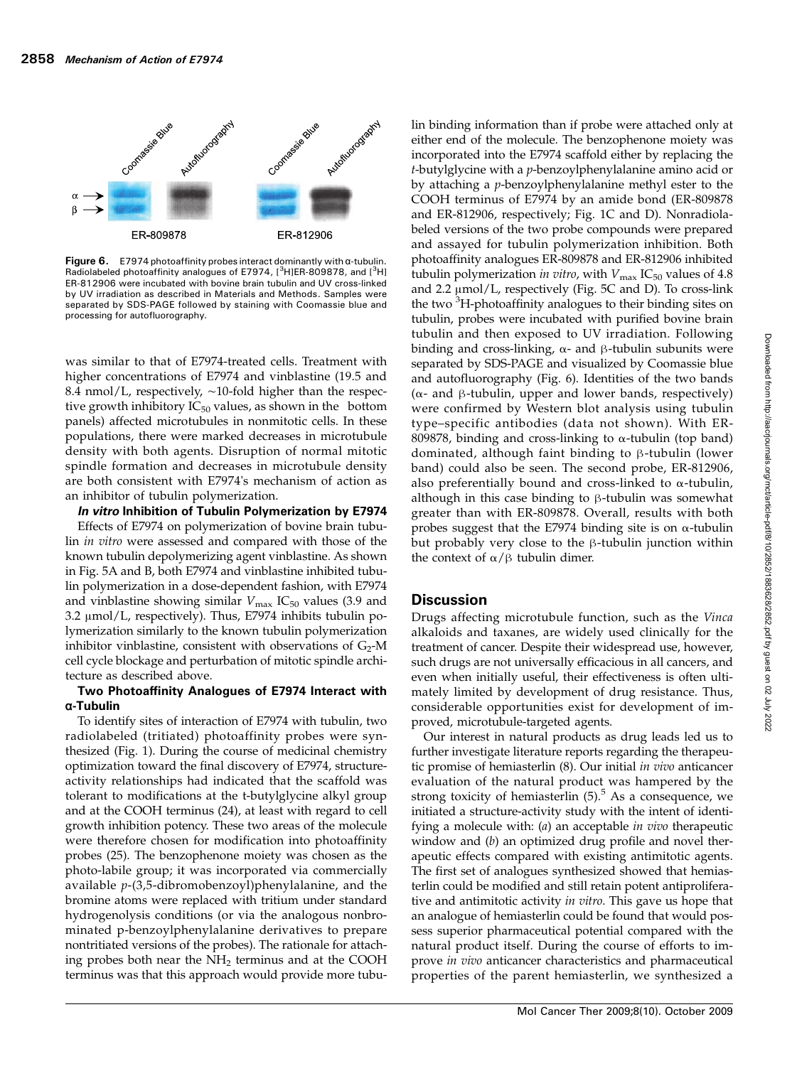

Figure 6.  $E$ 7974 photoaffinity probes interact dominantly with  $\alpha$ -tubulin. Radiolabeled photoaffinity analogues of E7974, [<sup>3</sup>H]ER-809878, and [<sup>3</sup>H] ER-812906 were incubated with bovine brain tubulin and UV cross-linked by UV irradiation as described in Materials and Methods. Samples were separated by SDS-PAGE followed by staining with Coomassie blue and processing for autofluorography.

was similar to that of E7974-treated cells. Treatment with higher concentrations of E7974 and vinblastine (19.5 and 8.4 nmol/L, respectively, ∼10-fold higher than the respective growth inhibitory  $IC_{50}$  values, as shown in the bottom panels) affected microtubules in nonmitotic cells. In these populations, there were marked decreases in microtubule density with both agents. Disruption of normal mitotic spindle formation and decreases in microtubule density are both consistent with E7974's mechanism of action as an inhibitor of tubulin polymerization.

In vitro Inhibition of Tubulin Polymerization by E7974

Effects of E7974 on polymerization of bovine brain tubulin in vitro were assessed and compared with those of the known tubulin depolymerizing agent vinblastine. As shown in Fig. 5A and B, both E7974 and vinblastine inhibited tubulin polymerization in a dose-dependent fashion, with E7974 and vinblastine showing similar  $V_{\text{max}}$  IC<sub>50</sub> values (3.9 and 3.2 μmol/L, respectively). Thus, E7974 inhibits tubulin polymerization similarly to the known tubulin polymerization inhibitor vinblastine, consistent with observations of  $G_2$ -M cell cycle blockage and perturbation of mitotic spindle architecture as described above.

#### Two Photoaffinity Analogues of E7974 Interact with α-Tubulin

To identify sites of interaction of E7974 with tubulin, two radiolabeled (tritiated) photoaffinity probes were synthesized (Fig. 1). During the course of medicinal chemistry optimization toward the final discovery of E7974, structureactivity relationships had indicated that the scaffold was tolerant to modifications at the t-butylglycine alkyl group and at the COOH terminus (24), at least with regard to cell growth inhibition potency. These two areas of the molecule were therefore chosen for modification into photoaffinity probes (25). The benzophenone moiety was chosen as the photo-labile group; it was incorporated via commercially available  $p$ -(3,5-dibromobenzoyl)phenylalanine, and the bromine atoms were replaced with tritium under standard hydrogenolysis conditions (or via the analogous nonbrominated p-benzoylphenylalanine derivatives to prepare nontritiated versions of the probes). The rationale for attaching probes both near the NH<sub>2</sub> terminus and at the COOH terminus was that this approach would provide more tubu-

lin binding information than if probe were attached only at either end of the molecule. The benzophenone moiety was incorporated into the E7974 scaffold either by replacing the  $t$ -butylglycine with a  $p$ -benzoylphenylalanine amino acid or by attaching a *p*-benzoylphenylalanine methyl ester to the COOH terminus of E7974 by an amide bond (ER-809878 and ER-812906, respectively; Fig. 1C and D). Nonradiolabeled versions of the two probe compounds were prepared and assayed for tubulin polymerization inhibition. Both photoaffinity analogues ER-809878 and ER-812906 inhibited tubulin polymerization in vitro, with  $V_{\text{max}}$  IC<sub>50</sub> values of 4.8 and 2.2 μmol/L, respectively (Fig. 5C and D). To cross-link the two <sup>3</sup>H-photoaffinity analogues to their binding sites on tubulin, probes were incubated with purified bovine brain tubulin and then exposed to UV irradiation. Following binding and cross-linking, α- and β-tubulin subunits were separated by SDS-PAGE and visualized by Coomassie blue and autofluorography (Fig. 6). Identities of the two bands ( $\alpha$ - and β-tubulin, upper and lower bands, respectively) were confirmed by Western blot analysis using tubulin type–specific antibodies (data not shown). With ER-809878, binding and cross-linking to α-tubulin (top band) dominated, although faint binding to β-tubulin (lower band) could also be seen. The second probe, ER-812906, also preferentially bound and cross-linked to  $\alpha$ -tubulin, although in this case binding to β-tubulin was somewhat greater than with ER-809878. Overall, results with both probes suggest that the E7974 binding site is on α-tubulin but probably very close to the β-tubulin junction within the context of  $\alpha/\beta$  tubulin dimer.

## **Discussion**

Drugs affecting microtubule function, such as the Vinca alkaloids and taxanes, are widely used clinically for the treatment of cancer. Despite their widespread use, however, such drugs are not universally efficacious in all cancers, and even when initially useful, their effectiveness is often ultimately limited by development of drug resistance. Thus, considerable opportunities exist for development of improved, microtubule-targeted agents.

Our interest in natural products as drug leads led us to further investigate literature reports regarding the therapeutic promise of hemiasterlin (8). Our initial in vivo anticancer evaluation of the natural product was hampered by the strong toxicity of hemiasterlin  $(5)$ .<sup>5</sup> As a consequence, we initiated a structure-activity study with the intent of identifying a molecule with: (*a*) an acceptable *in vivo* therapeutic window and (b) an optimized drug profile and novel therapeutic effects compared with existing antimitotic agents. The first set of analogues synthesized showed that hemiasterlin could be modified and still retain potent antiproliferative and antimitotic activity in vitro. This gave us hope that an analogue of hemiasterlin could be found that would possess superior pharmaceutical potential compared with the natural product itself. During the course of efforts to improve in vivo anticancer characteristics and pharmaceutical properties of the parent hemiasterlin, we synthesized a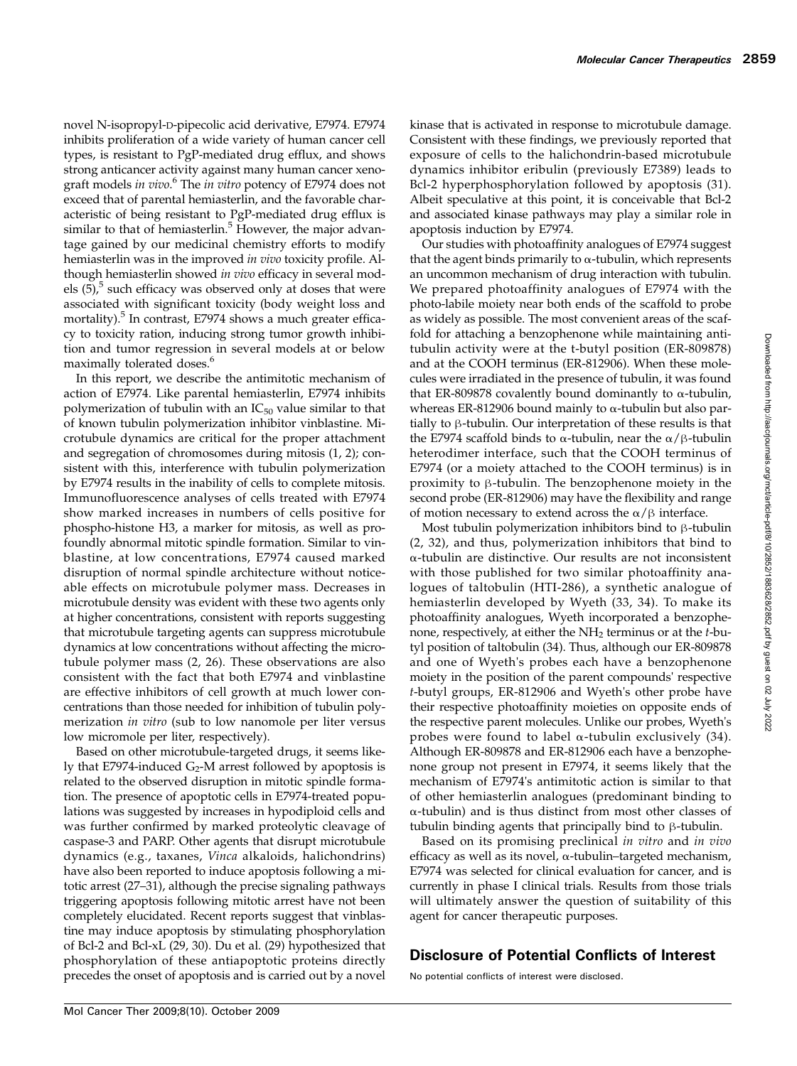novel N-isopropyl-D-pipecolic acid derivative, E7974. E7974 inhibits proliferation of a wide variety of human cancer cell types, is resistant to PgP-mediated drug efflux, and shows strong anticancer activity against many human cancer xenograft models in vivo.<sup>6</sup> The in vitro potency of E7974 does not exceed that of parental hemiasterlin, and the favorable characteristic of being resistant to PgP-mediated drug efflux is similar to that of hemiasterlin. $5$  However, the major advantage gained by our medicinal chemistry efforts to modify hemiasterlin was in the improved in vivo toxicity profile. Although hemiasterlin showed in vivo efficacy in several models  $(5)$ , such efficacy was observed only at doses that were associated with significant toxicity (body weight loss and mortality).<sup>5</sup> In contrast, E7974 shows a much greater efficacy to toxicity ration, inducing strong tumor growth inhibition and tumor regression in several models at or below maximally tolerated doses.<sup>6</sup>

In this report, we describe the antimitotic mechanism of action of E7974. Like parental hemiasterlin, E7974 inhibits polymerization of tubulin with an  $IC_{50}$  value similar to that of known tubulin polymerization inhibitor vinblastine. Microtubule dynamics are critical for the proper attachment and segregation of chromosomes during mitosis (1, 2); consistent with this, interference with tubulin polymerization by E7974 results in the inability of cells to complete mitosis. Immunofluorescence analyses of cells treated with E7974 show marked increases in numbers of cells positive for phospho-histone H3, a marker for mitosis, as well as profoundly abnormal mitotic spindle formation. Similar to vinblastine, at low concentrations, E7974 caused marked disruption of normal spindle architecture without noticeable effects on microtubule polymer mass. Decreases in microtubule density was evident with these two agents only at higher concentrations, consistent with reports suggesting that microtubule targeting agents can suppress microtubule dynamics at low concentrations without affecting the microtubule polymer mass (2, 26). These observations are also consistent with the fact that both E7974 and vinblastine are effective inhibitors of cell growth at much lower concentrations than those needed for inhibition of tubulin polymerization *in vitro* (sub to low nanomole per liter versus low micromole per liter, respectively).

Based on other microtubule-targeted drugs, it seems likely that E7974-induced  $G_2$ -M arrest followed by apoptosis is related to the observed disruption in mitotic spindle formation. The presence of apoptotic cells in E7974-treated populations was suggested by increases in hypodiploid cells and was further confirmed by marked proteolytic cleavage of caspase-3 and PARP. Other agents that disrupt microtubule dynamics (e.g., taxanes, Vinca alkaloids, halichondrins) have also been reported to induce apoptosis following a mitotic arrest (27–31), although the precise signaling pathways triggering apoptosis following mitotic arrest have not been completely elucidated. Recent reports suggest that vinblastine may induce apoptosis by stimulating phosphorylation of Bcl-2 and Bcl-xL (29, 30). Du et al. (29) hypothesized that phosphorylation of these antiapoptotic proteins directly precedes the onset of apoptosis and is carried out by a novel

kinase that is activated in response to microtubule damage. Consistent with these findings, we previously reported that exposure of cells to the halichondrin-based microtubule dynamics inhibitor eribulin (previously E7389) leads to Bcl-2 hyperphosphorylation followed by apoptosis (31). Albeit speculative at this point, it is conceivable that Bcl-2 and associated kinase pathways may play a similar role in apoptosis induction by E7974.

Our studies with photoaffinity analogues of E7974 suggest that the agent binds primarily to  $\alpha$ -tubulin, which represents an uncommon mechanism of drug interaction with tubulin. We prepared photoaffinity analogues of E7974 with the photo-labile moiety near both ends of the scaffold to probe as widely as possible. The most convenient areas of the scaffold for attaching a benzophenone while maintaining antitubulin activity were at the t-butyl position (ER-809878) and at the COOH terminus (ER-812906). When these molecules were irradiated in the presence of tubulin, it was found that ER-809878 covalently bound dominantly to  $α$ -tubulin, whereas ER-812906 bound mainly to  $\alpha$ -tubulin but also partially to β-tubulin. Our interpretation of these results is that the E7974 scaffold binds to α-tubulin, near the  $\alpha/\beta$ -tubulin heterodimer interface, such that the COOH terminus of E7974 (or a moiety attached to the COOH terminus) is in proximity to β-tubulin. The benzophenone moiety in the second probe (ER-812906) may have the flexibility and range of motion necessary to extend across the  $\alpha/\beta$  interface.

Most tubulin polymerization inhibitors bind to β-tubulin (2, 32), and thus, polymerization inhibitors that bind to α-tubulin are distinctive. Our results are not inconsistent with those published for two similar photoaffinity analogues of taltobulin (HTI-286), a synthetic analogue of hemiasterlin developed by Wyeth (33, 34). To make its photoaffinity analogues, Wyeth incorporated a benzophenone, respectively, at either the  $NH<sub>2</sub>$  terminus or at the *t*-butyl position of taltobulin (34). Thus, although our ER-809878 and one of Wyeth's probes each have a benzophenone moiety in the position of the parent compounds' respective t-butyl groups, ER-812906 and Wyeth's other probe have their respective photoaffinity moieties on opposite ends of the respective parent molecules. Unlike our probes, Wyeth's probes were found to label α-tubulin exclusively (34). Although ER-809878 and ER-812906 each have a benzophenone group not present in E7974, it seems likely that the mechanism of E7974's antimitotic action is similar to that of other hemiasterlin analogues (predominant binding to α-tubulin) and is thus distinct from most other classes of tubulin binding agents that principally bind to β-tubulin.

Based on its promising preclinical in vitro and in vivo efficacy as well as its novel, α-tubulin–targeted mechanism, E7974 was selected for clinical evaluation for cancer, and is currently in phase I clinical trials. Results from those trials will ultimately answer the question of suitability of this agent for cancer therapeutic purposes.

# Disclosure of Potential Conflicts of Interest

No potential conflicts of interest were disclosed.